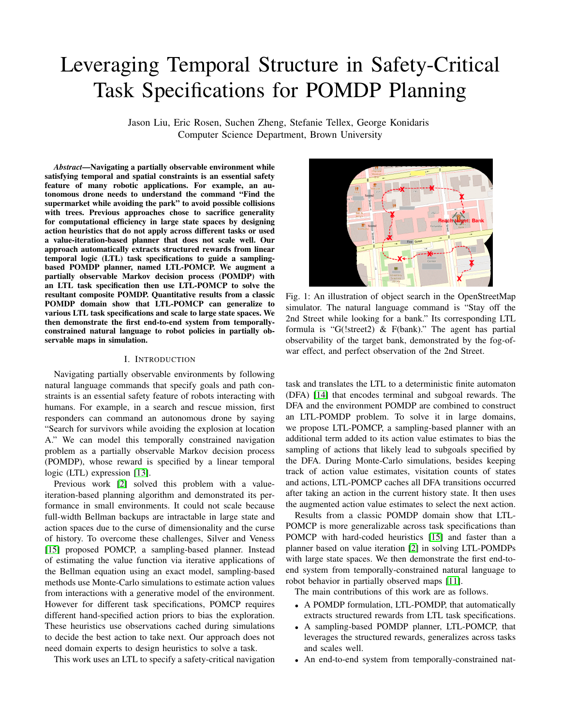# Leveraging Temporal Structure in Safety-Critical Task Specifications for POMDP Planning

Jason Liu, Eric Rosen, Suchen Zheng, Stefanie Tellex, George Konidaris Computer Science Department, Brown University

*Abstract*—Navigating a partially observable environment while satisfying temporal and spatial constraints is an essential safety feature of many robotic applications. For example, an autonomous drone needs to understand the command "Find the supermarket while avoiding the park" to avoid possible collisions with trees. Previous approaches chose to sacrifice generality for computational efficiency in large state spaces by designing action heuristics that do not apply across different tasks or used a value-iteration-based planner that does not scale well. Our approach automatically extracts structured rewards from linear temporal logic (LTL) task specifications to guide a samplingbased POMDP planner, named LTL-POMCP. We augment a partially observable Markov decision process (POMDP) with an LTL task specification then use LTL-POMCP to solve the resultant composite POMDP. Quantitative results from a classic POMDP domain show that LTL-POMCP can generalize to various LTL task specifications and scale to large state spaces. We then demonstrate the first end-to-end system from temporallyconstrained natural language to robot policies in partially observable maps in simulation.

### I. INTRODUCTION

Navigating partially observable environments by following natural language commands that specify goals and path constraints is an essential safety feature of robots interacting with humans. For example, in a search and rescue mission, first responders can command an autonomous drone by saying "Search for survivors while avoiding the explosion at location A." We can model this temporally constrained navigation problem as a partially observable Markov decision process (POMDP), whose reward is specified by a linear temporal logic (LTL) expression [\[13\]](#page-4-0).

Previous work [\[2\]](#page-4-1) solved this problem with a valueiteration-based planning algorithm and demonstrated its performance in small environments. It could not scale because full-width Bellman backups are intractable in large state and action spaces due to the curse of dimensionality and the curse of history. To overcome these challenges, Silver and Veness [\[15\]](#page-4-2) proposed POMCP, a sampling-based planner. Instead of estimating the value function via iterative applications of the Bellman equation using an exact model, sampling-based methods use Monte-Carlo simulations to estimate action values from interactions with a generative model of the environment. However for different task specifications, POMCP requires different hand-specified action priors to bias the exploration. These heuristics use observations cached during simulations to decide the best action to take next. Our approach does not need domain experts to design heuristics to solve a task.

This work uses an LTL to specify a safety-critical navigation



Fig. 1: An illustration of object search in the OpenStreetMap simulator. The natural language command is "Stay off the 2nd Street while looking for a bank." Its corresponding LTL formula is "G(!street2) & F(bank)." The agent has partial observability of the target bank, demonstrated by the fog-ofwar effect, and perfect observation of the 2nd Street.

task and translates the LTL to a deterministic finite automaton (DFA) [\[14\]](#page-4-3) that encodes terminal and subgoal rewards. The DFA and the environment POMDP are combined to construct an LTL-POMDP problem. To solve it in large domains, we propose LTL-POMCP, a sampling-based planner with an additional term added to its action value estimates to bias the sampling of actions that likely lead to subgoals specified by the DFA. During Monte-Carlo simulations, besides keeping track of action value estimates, visitation counts of states and actions, LTL-POMCP caches all DFA transitions occurred after taking an action in the current history state. It then uses the augmented action value estimates to select the next action.

Results from a classic POMDP domain show that LTL-POMCP is more generalizable across task specifications than POMCP with hard-coded heuristics [\[15\]](#page-4-2) and faster than a planner based on value iteration [\[2\]](#page-4-1) in solving LTL-POMDPs with large state spaces. We then demonstrate the first end-toend system from temporally-constrained natural language to robot behavior in partially observed maps [\[11\]](#page-4-4).

The main contributions of this work are as follows.

- A POMDP formulation, LTL-POMDP, that automatically extracts structured rewards from LTL task specifications.
- A sampling-based POMDP planner, LTL-POMCP, that leverages the structured rewards, generalizes across tasks and scales well.
- An end-to-end system from temporally-constrained nat-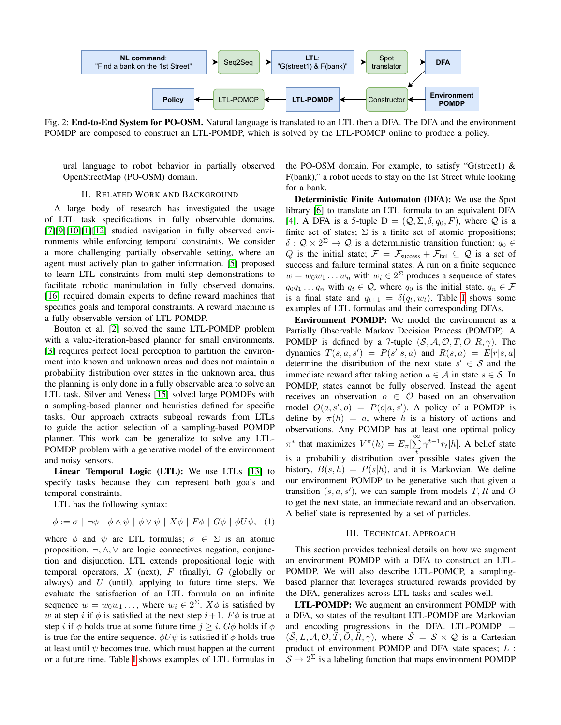

Fig. 2: **End-to-End System for PO-OSM.** Natural language is translated to an LTL then a DFA. The DFA and the environment POMDP are composed to construct an LTL-POMDP, which is solved by the LTL-POMCP online to produce a policy.

ural language to robot behavior in partially observed OpenStreetMap (PO-OSM) domain.

## II. RELATED WORK AND BACKGROUND

A large body of research has investigated the usage of LTL task specifications in fully observable domains. [\[7\]](#page-4-5)[\[9\]](#page-4-6)[\[10\]](#page-4-7)[\[1\]](#page-4-8)[\[12\]](#page-4-9) studied navigation in fully observed environments while enforcing temporal constraints. We consider a more challenging partially observable setting, where an agent must actively plan to gather information. [\[5\]](#page-4-10) proposed to learn LTL constraints from multi-step demonstrations to facilitate robotic manipulation in fully observed domains. [\[16\]](#page-4-11) required domain experts to define reward machines that specifies goals and temporal constraints. A reward machine is a fully observable version of LTL-POMDP.

Bouton et al. [\[2\]](#page-4-1) solved the same LTL-POMDP problem with a value-iteration-based planner for small environments. [\[3\]](#page-4-12) requires perfect local perception to partition the environment into known and unknown areas and does not maintain a probability distribution over states in the unknown area, thus the planning is only done in a fully observable area to solve an LTL task. Silver and Veness [\[15\]](#page-4-2) solved large POMDPs with a sampling-based planner and heuristics defined for specific tasks. Our approach extracts subgoal rewards from LTLs to guide the action selection of a sampling-based POMDP planner. This work can be generalize to solve any LTL-POMDP problem with a generative model of the environment and noisy sensors.

Linear Temporal Logic (LTL): We use LTLs [\[13\]](#page-4-0) to specify tasks because they can represent both goals and temporal constraints.

LTL has the following syntax:

$$
\phi := \sigma \mid \neg \phi \mid \phi \land \psi \mid \phi \lor \psi \mid X\phi \mid F\phi \mid G\phi \mid \phi U\psi, \quad (1)
$$

where  $\phi$  and  $\psi$  are LTL formulas;  $\sigma \in \Sigma$  is an atomic proposition.  $\neg, \wedge, \vee$  are logic connectives negation, conjunction and disjunction. LTL extends propositional logic with temporal operators,  $X$  (next),  $F$  (finally),  $G$  (globally or always) and  $U$  (until), applying to future time steps. We evaluate the satisfaction of an LTL formula on an infinite sequence  $w = w_0 w_1 \dots$ , where  $w_i \in 2^{\Sigma}$ .  $X\phi$  is satisfied by w at step i if  $\phi$  is satisfied at the next step  $i+1$ .  $F\phi$  is true at step *i* if  $\phi$  holds true at some future time  $j \geq i$ .  $G\phi$  holds if  $\phi$ is true for the entire sequence.  $\phi U \psi$  is satisfied if  $\phi$  holds true at least until  $\psi$  becomes true, which must happen at the current or a future time. Table [I](#page-2-0) shows examples of LTL formulas in the PO-OSM domain. For example, to satisfy "G(street1)  $\&$ F(bank)," a robot needs to stay on the 1st Street while looking for a bank.

Deterministic Finite Automaton (DFA): We use the Spot library [\[6\]](#page-4-13) to translate an LTL formula to an equivalent DFA [\[4\]](#page-4-14). A DFA is a 5-tuple D =  $(Q, \Sigma, \delta, q_0, F)$ , where Q is a finite set of states;  $\Sigma$  is a finite set of atomic propositions;  $\delta: \mathcal{Q} \times 2^{\Sigma} \to \mathcal{Q}$  is a deterministic transition function;  $q_0 \in$ Q is the initial state;  $\mathcal{F} = \mathcal{F}_{\text{success}} + \mathcal{F}_{\text{fail}} \subseteq \mathcal{Q}$  is a set of success and failure terminal states. A run on a finite sequence  $w = w_0 w_1 \dots w_n$  with  $w_i \in 2^{\Sigma}$  produces a sequence of states  $q_0q_1 \ldots q_n$  with  $q_t \in \mathcal{Q}$ , where  $q_0$  is the initial state,  $q_n \in \mathcal{F}$ is a final state and  $q_{t+1} = \delta(q_t, w_t)$ . Table [I](#page-2-0) shows some examples of LTL formulas and their corresponding DFAs.

Environment POMDP: We model the environment as a Partially Observable Markov Decision Process (POMDP). A POMDP is defined by a 7-tuple  $(S, A, O, T, O, R, \gamma)$ . The dynamics  $T(s, a, s') = P(s'|s, a)$  and  $R(s, a) = E[r|s, a]$ determine the distribution of the next state  $s' \in S$  and the immediate reward after taking action  $a \in \mathcal{A}$  in state  $s \in \mathcal{S}$ . In POMDP, states cannot be fully observed. Instead the agent receives an observation  $o \in \mathcal{O}$  based on an observation model  $O(a, s', o) = P(o|a, s')$ . A policy of a POMDP is define by  $\pi(h) = a$ , where h is a history of actions and observations. Any POMDP has at least one optimal policy  $\pi^*$  that maximizes  $V^{\pi}(h) = E_{\pi}[\sum^{\infty}]$  $\sum_{t} \gamma^{t-1} r_t |h]$ . A belief state is a probability distribution over possible states given the history,  $B(s, h) = P(s|h)$ , and it is Markovian. We define our environment POMDP to be generative such that given a transition  $(s, a, s')$ , we can sample from models  $T$ ,  $R$  and  $O$ to get the next state, an immediate reward and an observation. A belief state is represented by a set of particles.

### III. TECHNICAL APPROACH

This section provides technical details on how we augment an environment POMDP with a DFA to construct an LTL-POMDP. We will also describe LTL-POMCP, a samplingbased planner that leverages structured rewards provided by the DFA, generalizes across LTL tasks and scales well.

LTL-POMDP: We augment an environment POMDP with a DFA, so states of the resultant LTL-POMDP are Markovian and encoding progressions in the DFA. LTL-POMDP  $=$  $(S, L, A, \mathcal{O}, T, O, R, \gamma)$ , where  $S = S \times Q$  is a Cartesian product of environment POMDP and DFA state spaces; L :  $S \to 2^{\Sigma}$  is a labeling function that maps environment POMDP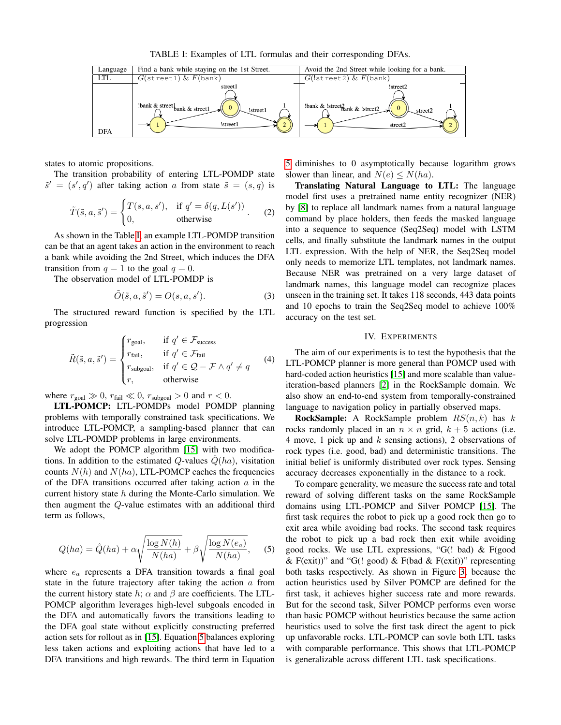TABLE I: Examples of LTL formulas and their corresponding DFAs.

<span id="page-2-0"></span>

states to atomic propositions.

The transition probability of entering LTL-POMDP state  $\tilde{s}' = (s', q')$  after taking action a from state  $\tilde{s} = (s, q)$  is

$$
\tilde{T}(\tilde{s}, a, \tilde{s}') = \begin{cases} T(s, a, s'), & \text{if } q' = \delta(q, L(s')) \\ 0, & \text{otherwise} \end{cases}
$$
 (2)

As shown in the Table [I,](#page-2-0) an example LTL-POMDP transition can be that an agent takes an action in the environment to reach a bank while avoiding the 2nd Street, which induces the DFA transition from  $q = 1$  to the goal  $q = 0$ .

The observation model of LTL-POMDP is

$$
\tilde{O}(\tilde{s}, a, \tilde{s}') = O(s, a, s').
$$
\n(3)

The structured reward function is specified by the LTL progression

$$
\tilde{R}(\tilde{s}, a, \tilde{s}') = \begin{cases}\nr_{\text{goal}}, & \text{if } q' \in \mathcal{F}_{\text{success}} \\
r_{\text{fail}}, & \text{if } q' \in \mathcal{F}_{\text{fail}} \\
r_{\text{subgoal}}, & \text{if } q' \in \mathcal{Q} - \mathcal{F} \wedge q' \neq q \\
r, & \text{otherwise}\n\end{cases}
$$
\n(4)

where  $r_{\text{goal}} \gg 0$ ,  $r_{\text{fail}} \ll 0$ ,  $r_{\text{subgoal}} > 0$  and  $r < 0$ .

LTL-POMCP: LTL-POMDPs model POMDP planning problems with temporally constrained task specifications. We introduce LTL-POMCP, a sampling-based planner that can solve LTL-POMDP problems in large environments.

We adopt the POMCP algorithm [\[15\]](#page-4-2) with two modifications. In addition to the estimated Q-values  $Q(ha)$ , visitation counts  $N(h)$  and  $N(ha)$ , LTL-POMCP caches the frequencies of the DFA transitions occurred after taking action  $a$  in the current history state  $h$  during the Monte-Carlo simulation. We then augment the Q-value estimates with an additional third term as follows,

<span id="page-2-1"></span>
$$
Q(ha) = \hat{Q}(ha) + \alpha \sqrt{\frac{\log N(h)}{N(ha)}} + \beta \sqrt{\frac{\log N(e_a)}{N(ha)}}, \quad (5)
$$

where  $e_a$  represents a DFA transition towards a final goal state in the future trajectory after taking the action  $a$  from the current history state h;  $\alpha$  and  $\beta$  are coefficients. The LTL-POMCP algorithm leverages high-level subgoals encoded in the DFA and automatically favors the transitions leading to the DFA goal state without explicitly constructing preferred action sets for rollout as in [\[15\]](#page-4-2). Equation [5](#page-2-1) balances exploring less taken actions and exploiting actions that have led to a DFA transitions and high rewards. The third term in Equation

[5](#page-2-1) diminishes to 0 asymptotically because logarithm grows slower than linear, and  $N(e) \le N(ha)$ .

Translating Natural Language to LTL: The language model first uses a pretrained name entity recognizer (NER) by [\[8\]](#page-4-15) to replace all landmark names from a natural language command by place holders, then feeds the masked language into a sequence to sequence (Seq2Seq) model with LSTM cells, and finally substitute the landmark names in the output LTL expression. With the help of NER, the Seq2Seq model only needs to memorize LTL templates, not landmark names. Because NER was pretrained on a very large dataset of landmark names, this language model can recognize places unseen in the training set. It takes 118 seconds, 443 data points and 10 epochs to train the Seq2Seq model to achieve 100% accuracy on the test set.

## IV. EXPERIMENTS

The aim of our experiments is to test the hypothesis that the LTL-POMCP planner is more general than POMCP used with hard-coded action heuristics [\[15\]](#page-4-2) and more scalable than valueiteration-based planners [\[2\]](#page-4-1) in the RockSample domain. We also show an end-to-end system from temporally-constrained language to navigation policy in partially observed maps.

**RockSample:** A RockSample problem  $RS(n, k)$  has k rocks randomly placed in an  $n \times n$  grid,  $k + 5$  actions (i.e. 4 move, 1 pick up and  $k$  sensing actions), 2 observations of rock types (i.e. good, bad) and deterministic transitions. The initial belief is uniformly distributed over rock types. Sensing accuracy decreases exponentially in the distance to a rock.

To compare generality, we measure the success rate and total reward of solving different tasks on the same RockSample domains using LTL-POMCP and Silver POMCP [\[15\]](#page-4-2). The first task requires the robot to pick up a good rock then go to exit area while avoiding bad rocks. The second task requires the robot to pick up a bad rock then exit while avoiding good rocks. We use LTL expressions, "G(! bad) & F(good & F(exit))" and "G(! good) & F(bad & F(exit))" representing both tasks respectively. As shown in Figure [3,](#page-3-0) because the action heuristics used by Silver POMCP are defined for the first task, it achieves higher success rate and more rewards. But for the second task, Silver POMCP performs even worse than basic POMCP without heuristics because the same action heuristics used to solve the first task direct the agent to pick up unfavorable rocks. LTL-POMCP can sovle both LTL tasks with comparable performance. This shows that LTL-POMCP is generalizable across different LTL task specifications.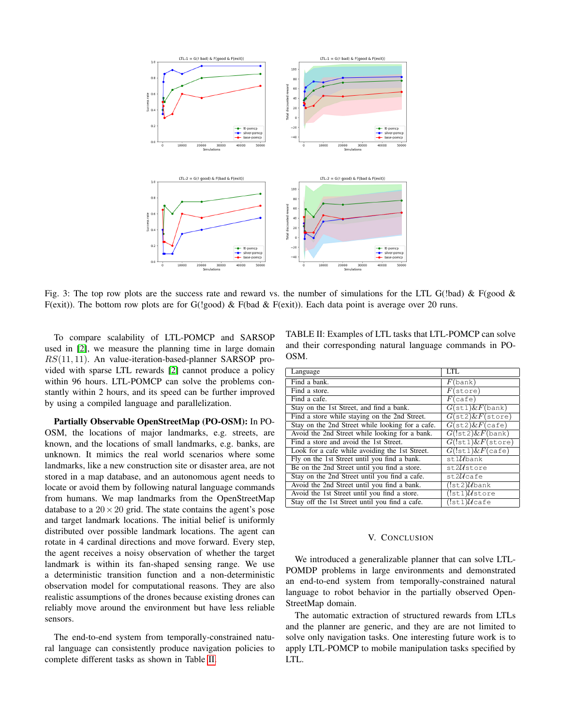<span id="page-3-0"></span>

Fig. 3: The top row plots are the success rate and reward vs. the number of simulations for the LTL G(!bad) & F(good & F(exit)). The bottom row plots are for G(!good) & F(bad & F(exit)). Each data point is average over 20 runs.

To compare scalability of LTL-POMCP and SARSOP used in [\[2\]](#page-4-1), we measure the planning time in large domain  $RS(11, 11)$ . An value-iteration-based-planner SARSOP provided with sparse LTL rewards [\[2\]](#page-4-1) cannot produce a policy within 96 hours. LTL-POMCP can solve the problems constantly within 2 hours, and its speed can be further improved by using a compiled language and parallelization.

Partially Observable OpenStreetMap (PO-OSM): In PO-OSM, the locations of major landmarks, e.g. streets, are known, and the locations of small landmarks, e.g. banks, are unknown. It mimics the real world scenarios where some landmarks, like a new construction site or disaster area, are not stored in a map database, and an autonomous agent needs to locate or avoid them by following natural language commands from humans. We map landmarks from the OpenStreetMap database to a  $20 \times 20$  grid. The state contains the agent's pose and target landmark locations. The initial belief is uniformly distributed over possible landmark locations. The agent can rotate in 4 cardinal directions and move forward. Every step, the agent receives a noisy observation of whether the target landmark is within its fan-shaped sensing range. We use a deterministic transition function and a non-deterministic observation model for computational reasons. They are also realistic assumptions of the drones because existing drones can reliably move around the environment but have less reliable sensors.

The end-to-end system from temporally-constrained natural language can consistently produce navigation policies to complete different tasks as shown in Table [II.](#page-3-1)

<span id="page-3-1"></span>TABLE II: Examples of LTL tasks that LTL-POMCP can solve and their corresponding natural language commands in PO-OSM.

| Language                                         | LTL                                   |
|--------------------------------------------------|---------------------------------------|
| Find a bank.                                     | $F$ (bank)                            |
| Find a store.                                    | $F(\text{store})$                     |
| Find a cafe.                                     | $F$ (cafe)                            |
| Stay on the 1st Street, and find a bank.         | $G(\text{st1})\&F(\text{bank})$       |
| Find a store while staying on the 2nd Street.    | $G(\text{st2})\&F(\text{store})$      |
| Stay on the 2nd Street while looking for a cafe. | $G(\text{st2})\&F(\text{safe})$       |
| Avoid the 2nd Street while looking for a bank.   | $G(!st2)$ & $F$ (bank)                |
| Find a store and avoid the 1st Street.           | $G(!st1)$ & $F(store)$                |
| Look for a cafe while avoiding the 1st Street.   | $\overline{G(!\text{st}1)\&F}$ (cafe) |
| Fly on the 1st Street until you find a bank.     | $st1U$ bank                           |
| Be on the 2nd Street until you find a store.     | st2Ustore                             |
| Stay on the 2nd Street until you find a cafe.    | $st2U$ cafe                           |
| Avoid the 2nd Street until you find a bank.      | $(!$ st2) $\mathcal{U}$ bank          |
| Avoid the 1st Street until you find a store.     | $(!st1)\mathcal{U}$ store             |
| Stay off the 1st Street until you find a cafe.   | $(!st1)U$ cafe                        |

## V. CONCLUSION

We introduced a generalizable planner that can solve LTL-POMDP problems in large environments and demonstrated an end-to-end system from temporally-constrained natural language to robot behavior in the partially observed Open-StreetMap domain.

The automatic extraction of structured rewards from LTLs and the planner are generic, and they are are not limited to solve only navigation tasks. One interesting future work is to apply LTL-POMCP to mobile manipulation tasks specified by LTL.